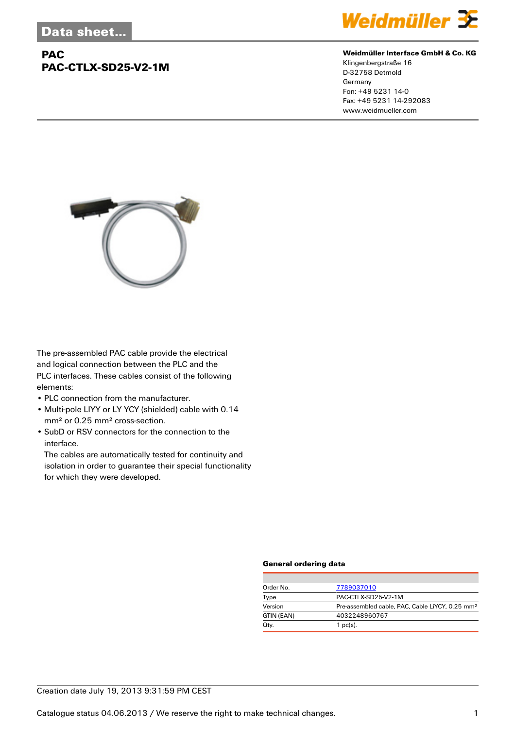# **PAC PAC-CTLX-SD25-V2-1M**



#### **Weidmüller Interface GmbH & Co. KG**

Klingenbergstraße 16 D-32758 Detmold Germany Fon: +49 5231 14-0 Fax: +49 5231 14-292083 www.weidmueller.com



The pre-assembled PAC cable provide the electrical and logical connection between the PLC and the PLC interfaces. These cables consist of the following elements:

- PLC connection from the manufacturer.
- Multi-pole LIYY or LY YCY (shielded) cable with 0.14 mm² or 0.25 mm² cross-section.
- SubD or RSV connectors for the connection to the interface.

The cables are automatically tested for continuity and isolation in order to guarantee their special functionality for which they were developed.

### **General ordering data**

| Order No.  | 7789037010                                                  |  |  |
|------------|-------------------------------------------------------------|--|--|
| Type       | PAC-CTLX-SD25-V2-1M                                         |  |  |
| Version    | Pre-assembled cable, PAC, Cable LiYCY, 0.25 mm <sup>2</sup> |  |  |
| GTIN (EAN) | 4032248960767                                               |  |  |
| Qty.       | $1$ pc(s).                                                  |  |  |